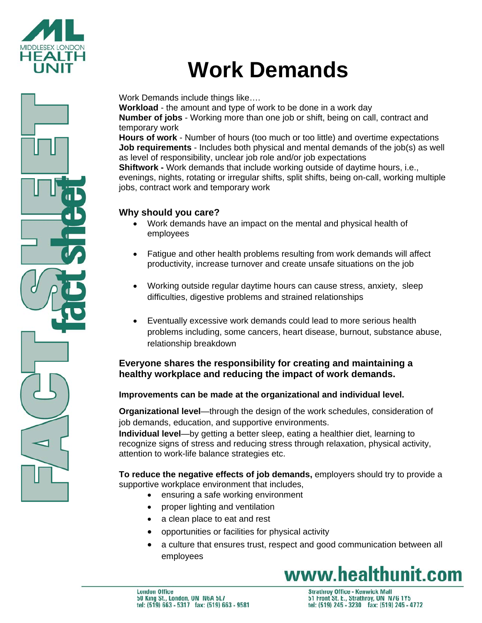

# **Work Demands**

Work Demands include things like….

**Workload** - the amount and type of work to be done in a work day **Number of jobs** - Working more than one job or shift, being on call, contract and temporary work

**Hours of work** - Number of hours (too much or too little) and overtime expectations **Job requirements** - Includes both physical and mental demands of the job(s) as well as level of responsibility, unclear job role and/or job expectations

**Shiftwork -** Work demands that include working outside of daytime hours, i.e., evenings, nights, rotating or irregular shifts, split shifts, being on-call, working multiple jobs, contract work and temporary work

# **Why should you care?**

- Work demands have an impact on the mental and physical health of employees
- Fatigue and other health problems resulting from work demands will affect productivity, increase turnover and create unsafe situations on the job
- Working outside regular daytime hours can cause stress, anxiety, sleep difficulties, digestive problems and strained relationships
- Eventually excessive work demands could lead to more serious health problems including, some cancers, heart disease, burnout, substance abuse, relationship breakdown

## **Everyone shares the responsibility for creating and maintaining a healthy workplace and reducing the impact of work demands.**

### **Improvements can be made at the organizational and individual level.**

**Organizational level**—through the design of the work schedules, consideration of job demands, education, and supportive environments.

**Individual level**—by getting a better sleep, eating a healthier diet, learning to recognize signs of stress and reducing stress through relaxation, physical activity, attention to work-life balance strategies etc.

**To reduce the negative effects of job demands,** employers should try to provide a supportive workplace environment that includes,

- ensuring a safe working environment
- proper lighting and ventilation
- a clean place to eat and rest
- opportunities or facilities for physical activity
- a culture that ensures trust, respect and good communication between all employees

# www.healthunit.com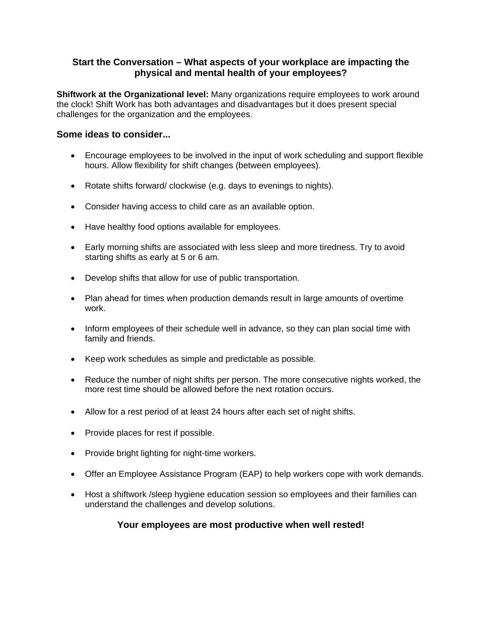#### **Start the Conversation – What aspects of your workplace are impacting the physical and mental health of your employees?**

**Shiftwork at the Organizational level:** Many organizations require employees to work around the clock! Shift Work has both advantages and disadvantages but it does present special challenges for the organization and the employees.

#### **Some ideas to consider...**

- Encourage employees to be involved in the input of work scheduling and support flexible hours. Allow flexibility for shift changes (between employees).
- Rotate shifts forward/ clockwise (e.g. days to evenings to nights).
- Consider having access to child care as an available option.
- Have healthy food options available for employees.
- Early morning shifts are associated with less sleep and more tiredness. Try to avoid starting shifts as early at 5 or 6 am.
- Develop shifts that allow for use of public transportation.
- Plan ahead for times when production demands result in large amounts of overtime work.
- Inform employees of their schedule well in advance, so they can plan social time with family and friends.
- Keep work schedules as simple and predictable as possible.
- Reduce the number of night shifts per person. The more consecutive nights worked, the more rest time should be allowed before the next rotation occurs.
- Allow for a rest period of at least 24 hours after each set of night shifts.
- Provide places for rest if possible.
- Provide bright lighting for night-time workers.
- Offer an Employee Assistance Program (EAP) to help workers cope with work demands.
- Host a shiftwork /sleep hygiene education session so employees and their families can understand the challenges and develop solutions.

#### **Your employees are most productive when well rested!**